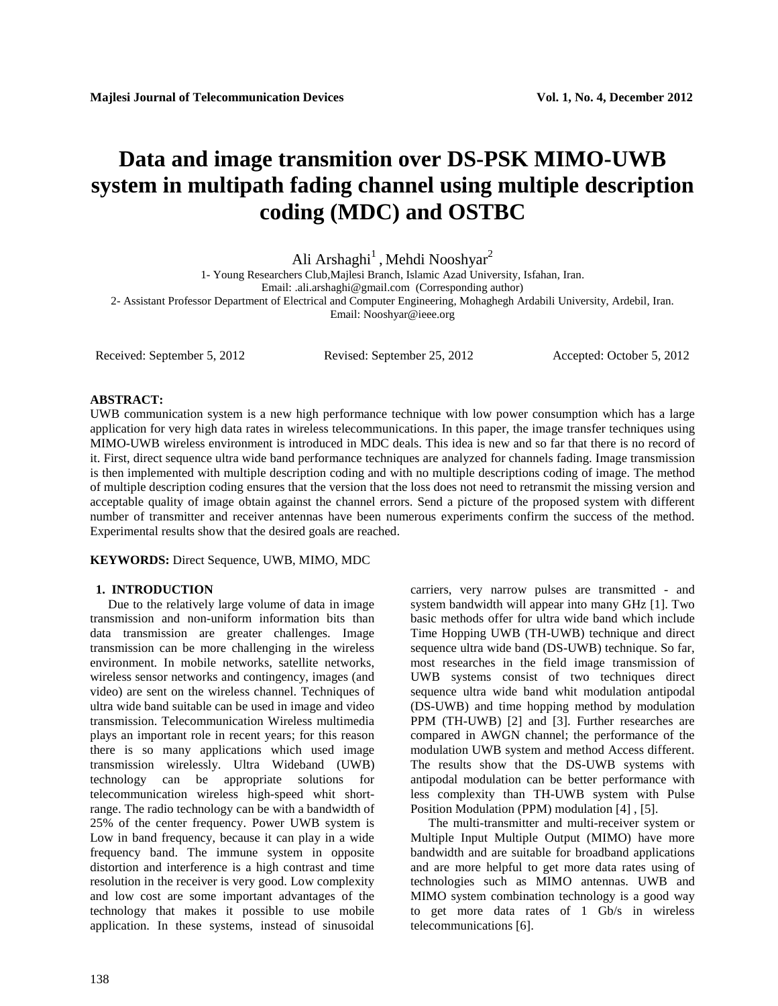# **Data and image transmition over DS-PSK MIMO-UWB system in multipath fading channel using multiple description coding (MDC) and OSTBC**

Ali Arshaghi $^1$  , Mehdi Nooshyar $^2$ 

1- Young Researchers Club,Majlesi Branch, Islamic Azad University, Isfahan, Iran.

Email: .ali.arshaghi@gmail.com (Corresponding author)

2- Assistant Professor Department of Electrical and Computer Engineering, Mohaghegh Ardabili University, Ardebil, Iran.

Email: Nooshyar@ieee.org

Received: September 5, 2012 Revised: September 25, 2012 Accepted: October 5, 2012

# **ABSTRACT:**

UWB communication system is a new high performance technique with low power consumption which has a large application for very high data rates in wireless telecommunications. In this paper, the image transfer techniques using MIMO-UWB wireless environment is introduced in MDC deals. This idea is new and so far that there is no record of it. First, direct sequence ultra wide band performance techniques are analyzed for channels fading. Image transmission is then implemented with multiple description coding and with no multiple descriptions coding of image. The method of multiple description coding ensures that the version that the loss does not need to retransmit the missing version and acceptable quality of image obtain against the channel errors. Send a picture of the proposed system with different number of transmitter and receiver antennas have been numerous experiments confirm the success of the method. Experimental results show that the desired goals are reached.

**KEYWORDS:** Direct Sequence, UWB, MIMO, MDC

## **1. INTRODUCTION**

Due to the relatively large volume of data in image transmission and non-uniform information bits than data transmission are greater challenges. Image transmission can be more challenging in the wireless environment. In mobile networks, satellite networks, wireless sensor networks and contingency, images (and video) are sent on the wireless channel. Techniques of ultra wide band suitable can be used in image and video transmission. Telecommunication Wireless multimedia plays an important role in recent years; for this reason there is so many applications which used image transmission wirelessly. Ultra Wideband (UWB) technology can be appropriate solutions for telecommunication wireless high-speed whit shortrange. The radio technology can be with a bandwidth of 25% of the center frequency. Power UWB system is Low in band frequency, because it can play in a wide frequency band. The immune system in opposite distortion and interference is a high contrast and time resolution in the receiver is very good. Low complexity and low cost are some important advantages of the technology that makes it possible to use mobile application. In these systems, instead of sinusoidal

carriers, very narrow pulses are transmitted - and system bandwidth will appear into many GHz [1]. Two basic methods offer for ultra wide band which include Time Hopping UWB (TH-UWB) technique and direct sequence ultra wide band (DS-UWB) technique. So far, most researches in the field image transmission of UWB systems consist of two techniques direct sequence ultra wide band whit modulation antipodal (DS-UWB) and time hopping method by modulation PPM (TH-UWB) [2] and [3]. Further researches are compared in AWGN channel; the performance of the modulation UWB system and method Access different. The results show that the DS-UWB systems with antipodal modulation can be better performance with less complexity than TH-UWB system with Pulse Position Modulation (PPM) modulation [4] , [5].

The multi-transmitter and multi-receiver system or Multiple Input Multiple Output (MIMO) have more bandwidth and are suitable for broadband applications and are more helpful to get more data rates using of technologies such as MIMO antennas. UWB and MIMO system combination technology is a good way to get more data rates of 1 Gb/s in wireless telecommunications [6].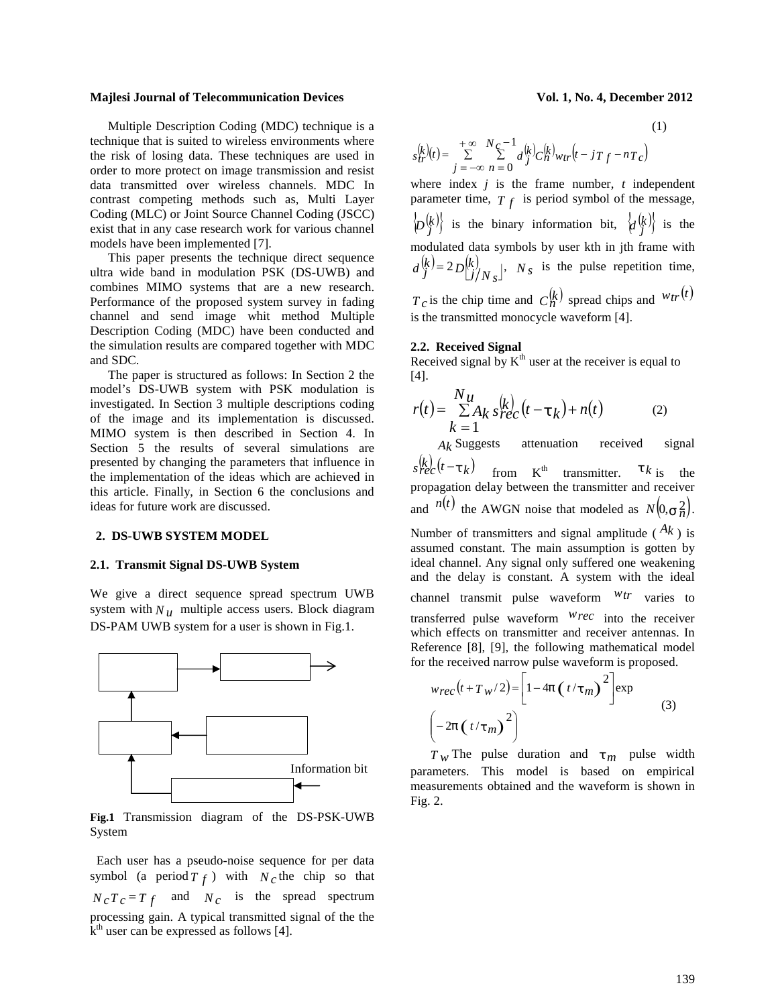Multiple Description Coding (MDC) technique is a technique that is suited to wireless environments where the risk of losing data. These techniques are used in order to more protect on image transmission and resist data transmitted over wireless channels. MDC In contrast competing methods such as, Multi Layer Coding (MLC) or Joint Source Channel Coding (JSCC) exist that in any case research work for various channel models have been implemented [7].

This paper presents the technique direct sequence ultra wide band in modulation PSK (DS-UWB) and combines MIMO systems that are a new research. Performance of the proposed system survey in fading channel and send image whit method Multiple Description Coding (MDC) have been conducted and the simulation results are compared together with MDC and SDC.

The paper is structured as follows: In Section 2 the model's DS-UWB system with PSK modulation is investigated. In Section 3 multiple descriptions coding of the image and its implementation is discussed. MIMO system is then described in Section 4. In Section 5 the results of several simulations are presented by changing the parameters that influence in the implementation of the ideas which are achieved in this article. Finally, in Section 6 the conclusions and ideas for future work are discussed.

### **2. DS-UWB SYSTEM MODEL**

### **2.1. Transmit Signal DS-UWB System**

We give a direct sequence spread spectrum UWB system with  $N<sub>u</sub>$  multiple access users. Block diagram DS-PAM UWB system for a user is shown in Fig.1.



**Fig.1** Transmission diagram of the DS-PSK-UWB System

 Each user has a pseudo-noise sequence for per data symbol (a period  $T_f$ ) with  $N_c$  the chip so that  $N_c T_c = T_f$  and  $N_c$  is the spread spectrum processing gain. A typical transmitted signal of the the  $\mathbf{k}^{\text{th}}$  user can be expressed as follows [4].

(1)

$$
s_{tr}^{(k)}(t) = \sum_{j=-\infty}^{+\infty} \sum_{n=0}^{N_c-1} d_j^{(k)} c_n^{(k)} w_{tr} (t - jT_f - nT_c)
$$

where index *j* is the frame number, *t* independent parameter time,  $T_f$  is period symbol of the message,  $\langle D_j^{(k)} \rangle$  is the binary information bit,  $\langle d_j^{(k)} \rangle$  is the modulated data symbols by user kth in jth frame with  $(k) = 2R(k)$   $N$  is the pulse  $D_{\bigcup}^{[k]}/N_{\mathcal{S}}$ ,  $N_{\mathcal{S}}$  is the pulse repetition time,  $d_j^{(k)} = 2D_{j/N_s}^{(k)}$ , *N<sub>s</sub>* is the pulse repetition time,

 $T_c$  is the chip time and  $C_n^{(k)}$  spread chips and  $w_{tr}(t)$ is the transmitted monocycle waveform [4].

### **2.2. Received Signal**

Received signal by  $K^{th}$  user at the receiver is equal to [4].

$$
r(t) = \frac{Nu}{\sum A_k s_{rec}^{(k)}} (t - t_k) + n(t)
$$
 (2)

*Ak* Suggests attenuation received signal  $s_{rec}^{(k)}(t-\ddagger k)$  from K<sup>th</sup> transmitter. <sup> $\ddagger k$ </sup> is the propagation delay between the transmitter and receiver and  $n(t)$  the AWGN noise that modeled as  $N(0, \frac{1}{n})$ . .

Number of transmitters and signal amplitude ( $A_k$ ) is assumed constant. The main assumption is gotten by ideal channel. Any signal only suffered one weakening and the delay is constant. A system with the ideal channel transmit pulse waveform *wtr* varies to transferred pulse waveform *wrec* into the receiver which effects on transmitter and receiver antennas. In Reference [8], [9], the following mathematical model for the received narrow pulse waveform is proposed.

$$
w_{rec}(t + T_w/2) = \left[1 - 4f(t/\tau_m)\right]^2 \text{exp}
$$
  

$$
\left(-2f(t/\tau_m)\right)^2
$$
 (3)

 $T_W$  The pulse duration and  $\frac{1}{T}$  pulse width parameters. This model is based on empirical measurements obtained and the waveform is shown in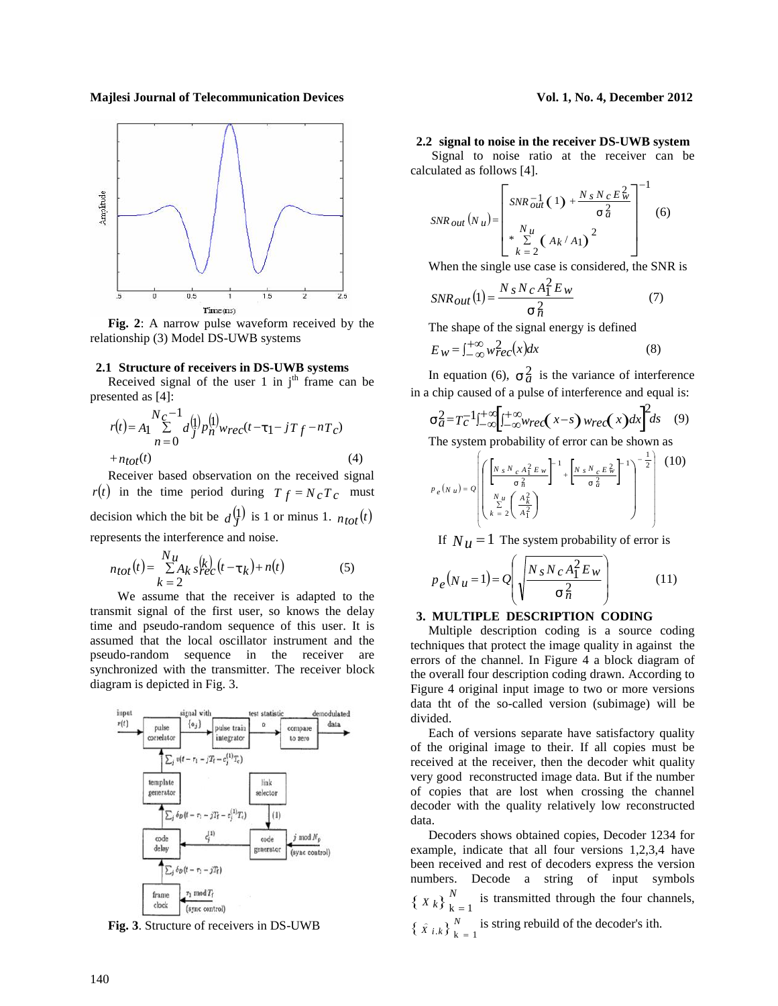

**Fig. 2**: A narrow pulse waveform received by the relationship (3) Model DS-UWB systems

### **2.1 Structure of receivers in DS-UWB systems**

Received signal of the user 1 in  $j<sup>th</sup>$  frame can be presented as [4]:

$$
r(t) = A_1 \sum_{n=0}^{N_C-1} d_j^{(1)} p_n^{(1)} w_{rec}(t-1) - jT_f - nT_C)
$$
  
\n
$$
+ n_{tot}(t)
$$
\n
$$
t^2 = T_C^{-1} \int_{-\infty}^{+\infty} \int_{-\infty}^{+\infty} w_n^{(1)} w_{rec}(t-1) d\mu_{C} \qquad (4)
$$
\n
$$
t^2 = T_C^{-1} \int_{-\infty}^{+\infty} \int_{-\infty}^{+\infty} w_n^{(1)} w_{rec}(t-1) d\mu_{C} \qquad (5.2)
$$

Receiver based observation on the received signal  $r(t)$  in the time period during  $T_f = N_c T_c$  must decision which the bit be  $d^{(1)}_J$  is 1 or minus 1.  $n_{tot}(t)$   $\left(\begin{array}{c}k=2 \ A_1^2\end{array}\right)$ represents the interference and noise.

$$
n_{tot}(t) = \frac{N_{\mu}}{\sum A_k s_{\text{PC}}^{(k)}} (t - \mathbf{t}_k) + n(t) \tag{5}
$$
\n
$$
p_e(N_{\mu} =
$$

 We assume that the receiver is adapted to the transmit signal of the first user, so knows the delay time and pseudo-random sequence of this user. It is assumed that the local oscillator instrument and the pseudo-random sequence in the receiver are synchronized with the transmitter. The receiver block diagram is depicted in Fig. 3.



**Fig. 3**. Structure of receivers in DS-UWB

**2.2 signal to noise in the receiver DS-UWB system**

Signal to noise ratio at the receiver can be calculated as follows [4].

$$
SNR_{out}(N_{u}) = \begin{bmatrix} SNR_{out}^{-1}(1) + \frac{N_{s}N_{c}E_{w}^{2}}{T_{d}^{2}} \\ \frac{N_{u}}{K_{c}^{2}}(A_{k}/A_{1})^{2} \end{bmatrix}^{-1}
$$
(6)

When the single use case is considered, the SNR is

$$
SNR_{out}(1) = \frac{N_s N_c A_1^2 E_w}{\frac{2}{n}}
$$
 (7)

The shape of the signal energy is defined

$$
E_W = \int_{-\infty}^{+\infty} w_{\text{rec}}^2(x) dx \tag{8}
$$

In equation (6),  $\pm \frac{2}{a}$  is the variance of interference in a chip caused of a pulse of interference and equal is:

$$
ta2 = Tc-1 t1+\infty \left[ t-\infty+\infty \left( x-s \right) w_{rec}(x) dx \right] ds
$$
 (9)

The system probability of error can be shown as

$$
p_e(w_u) = Q \left[ \left( \frac{\left[ N_s N_c A_1^2 E_w \right]^{-1} + \left[ N_s N_c E_w^2 \right]^{-1} \right]^{-\frac{1}{2}}}{\sum_{k=2}^{N_u} \left( \frac{A_k^2}{A_1^2} \right)} \right]^{-1} \right]^{-\frac{1}{2}} \qquad (10)
$$

If  $N<sub>u</sub> = 1$  The system probability of error is

$$
p_e(N_u = 1) = Q\left(\sqrt{\frac{N_s N_c A_1^2 E_w}{\tau_n^2}}\right) \tag{11}
$$

# **3. MULTIPLE DESCRIPTION CODING**

Multiple description coding is a source coding techniques that protect the image quality in against the errors of the channel. In Figure 4 a block diagram of the overall four description coding drawn. According to Figure 4 original input image to two or more versions data tht of the so-called version (subimage) will be divided.

Each of versions separate have satisfactory quality of the original image to their. If all copies must be received at the receiver, then the decoder whit quality very good reconstructed image data. But if the number of copies that are lost when crossing the channel decoder with the quality relatively low reconstructed data.

Decoders shows obtained copies, Decoder 1234 for example, indicate that all four versions 1,2,3,4 have been received and rest of decoders express the version numbers. Decode a string of input symbols  $\{X_k\}_{k=1}^N$  is transmitted through the four channels,  $\sum_{k=1}^{N}$  is transmitted through the four channels,  $\left\{\hat{X}^{i,k}\right\}_{k=1}^{N}$  is string rebuild of the decoder's ith.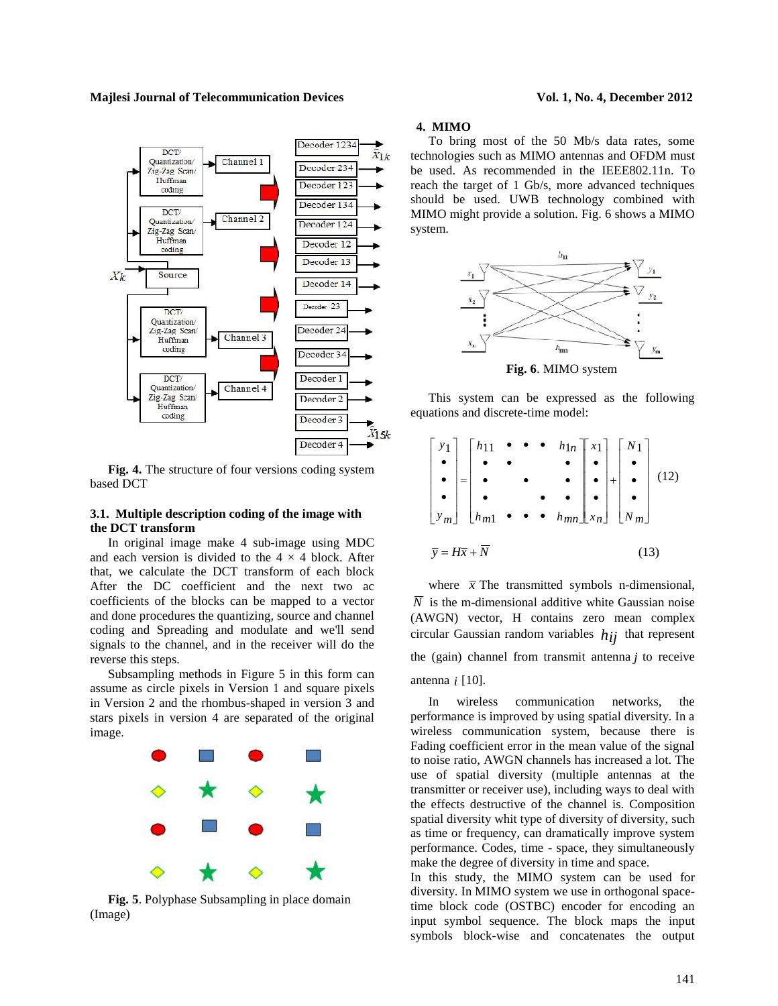

**Fig. 4.** The structure of four versions coding system based DCT

# **3.1. Multiple description coding of the image with the DCT transform**

In original image make 4 sub-image using MDC and each version is divided to the  $4 \times 4$  block. After that, we calculate the DCT transform of each block After the DC coefficient and the next two ac coefficients of the blocks can be mapped to a vector and done procedures the quantizing, source and channel coding and Spreading and modulate and we'll send signals to the channel, and in the receiver will do the reverse this steps.

Subsampling methods in Figure 5 in this form can assume as circle pixels in Version 1 and square pixels in Version 2 and the rhombus-shaped in version 3 and stars pixels in version 4 are separated of the original image.



**Fig. 5**. Polyphase Subsampling in place domain (Image)

# **4. MIMO**

To bring most of the 50 Mb/s data rates, some technologies such as MIMO antennas and OFDM must be used. As recommended in the IEEE802.11n. To reach the target of 1 Gb/s, more advanced techniques should be used. UWB technology combined with MIMO might provide a solution. Fig. 6 shows a MIMO system.



This system can be expressed as the following equations and discrete-time model:

$$
\begin{bmatrix} y_1 \\ \bullet \\ \bullet \\ y_m \end{bmatrix} = \begin{bmatrix} h_{11} & \bullet & \bullet & \bullet & h_{1n} \\ \bullet & \bullet & & \bullet \\ \bullet & & \bullet & & \bullet \\ h_{m1} & \bullet & \bullet & \bullet & h_{mn} \end{bmatrix} \begin{bmatrix} x_1 \\ \bullet \\ \bullet \\ x_n \end{bmatrix} + \begin{bmatrix} N_1 \\ \bullet \\ \bullet \\ N_m \end{bmatrix}
$$
(12)  

$$
\overline{y} = H\overline{x} + \overline{N}
$$
(13)

where  $\bar{x}$  The transmitted symbols n-dimensional,  $\overline{N}$  is the m-dimensional additive white Gaussian noise (AWGN) vector, H contains zero mean complex circular Gaussian random variables  $h_{ij}$  that represent the (gain) channel from transmit antenna *j* to receive antenna *i* [10].

In wireless communication networks, the performance is improved by using spatial diversity. In a wireless communication system, because there is Fading coefficient error in the mean value of the signal to noise ratio, AWGN channels has increased a lot. The use of spatial diversity (multiple antennas at the transmitter or receiver use), including ways to deal with the effects destructive of the channel is. Composition spatial diversity whit type of diversity of diversity, such as time or frequency, can dramatically improve system performance. Codes, time - space, they simultaneously make the degree of diversity in time and space.

In this study, the MIMO system can be used for diversity. In MIMO system we use in orthogonal spacetime block code (OSTBC) encoder for encoding an input symbol sequence. The block maps the input symbols block-wise and concatenates the output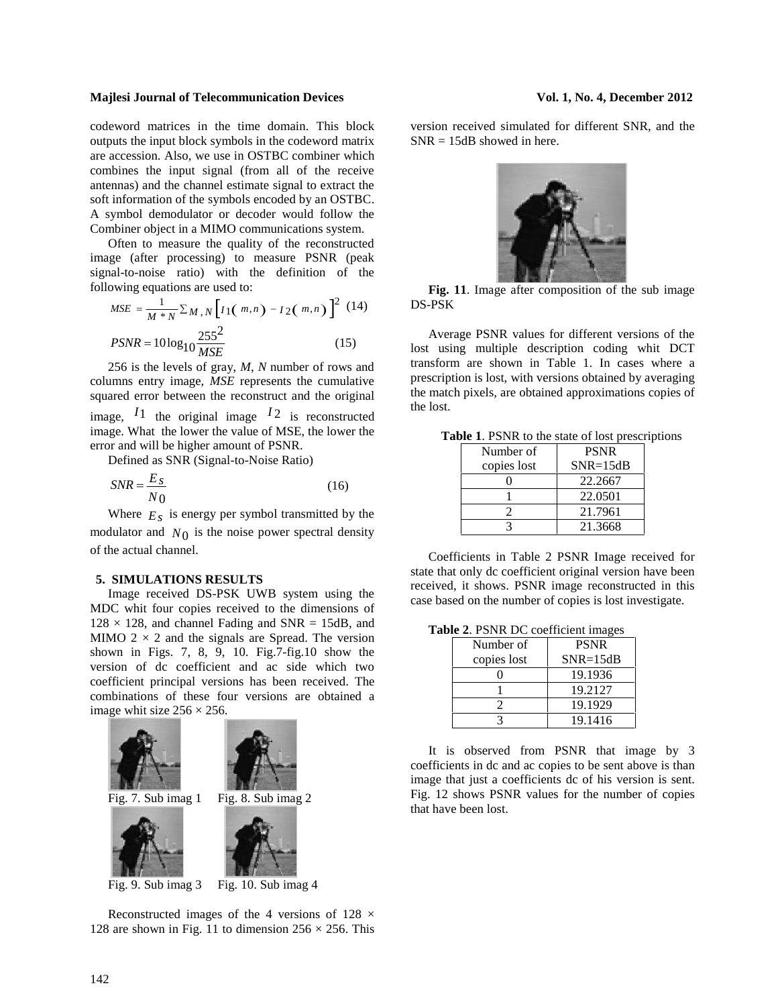codeword matrices in the time domain. This block outputs the input block symbols in the codeword matrix are accession. Also, we use in OSTBC combiner which combines the input signal (from all of the receive antennas) and the channel estimate signal to extract the soft information of the symbols encoded by an OSTBC. A symbol demodulator or decoder would follow the Combiner object in a MIMO communications system.

Often to measure the quality of the reconstructed image (after processing) to measure PSNR (peak signal-to-noise ratio) with the definition of the following equations are used to:

$$
MSE = \frac{1}{M*N} \sum M, N \left[ I_1(m,n) - I_2(m,n) \right]^2 (14)
$$
DS-PSK  
\n
$$
PSNR = 10 \log_{10} \frac{255^2}{MSE}
$$
 (15) Average PSNR values for different  
\nlost using multiple description cod

256 is the levels of gray, *M*, *N* number of rows and columns entry image, *MSE* represents the cumulative squared error between the reconstruct and the original image,  $I_1$  the original image  $I_2$  is reconstructed image. What the lower the value of MSE, the lower the error and will be higher amount of PSNR.

Defined as SNR (Signal-to-Noise Ratio)

$$
SNR = \frac{E_S}{N_0} \tag{16}
$$

Where  $E<sub>S</sub>$  is energy per symbol transmitted by the modulator and  $N_0$  is the noise power spectral density of the actual channel.

# **5. SIMULATIONS RESULTS**

Image received DS-PSK UWB system using the MDC whit four copies received to the dimensions of  $128 \times 128$ , and channel Fading and SNR = 15dB, and MIMO  $2 \times 2$  and the signals are Spread. The version shown in Figs. 7, 8, 9, 10. Fig.7-fig.10 show the version of dc coefficient and ac side which two coefficient principal versions has been received. The combinations of these four versions are obtained a image whit size  $256 \times 256$ .



Reconstructed images of the 4 versions of  $128 \times$ 128 are shown in Fig. 11 to dimension  $256 \times 256$ . This version received simulated for different SNR, and the  $SNR = 15dB$  showed in here.



 $2(14)$  DS-PSK **Fig. 11**. Image after composition of the sub image

MSE (13) lost using multiple description coding whit DCT Average PSNR values for different versions of the transform are shown in Table 1. In cases where a prescription is lost, with versions obtained by averaging the match pixels, are obtained approximations copies of the lost.

| <b>Table 1.</b> PSNR to the state of lost prescriptions |  |
|---------------------------------------------------------|--|
|---------------------------------------------------------|--|

| Number of   | <b>PSNR</b>  |
|-------------|--------------|
| copies lost | $SNR = 15dB$ |
|             | 22.2667      |
|             | 22.0501      |
|             | 21.7961      |
|             | 21.3668      |

Coefficients in Table 2 PSNR Image received for state that only dc coefficient original version have been received, it shows. PSNR image reconstructed in this case based on the number of copies is lost investigate.

**Table 2**. PSNR DC coefficient images

| $\alpha$ 2. The vector coordination in $\alpha$ |              |  |  |
|-------------------------------------------------|--------------|--|--|
| Number of                                       | <b>PSNR</b>  |  |  |
| copies lost                                     | $SNR = 15dB$ |  |  |
|                                                 | 19.1936      |  |  |
|                                                 | 19.2127      |  |  |
|                                                 | 19.1929      |  |  |
|                                                 | 19.1416      |  |  |

It is observed from PSNR that image by 3 coefficients in dc and ac copies to be sent above is than image that just a coefficients dc of his version is sent. Fig. 12 shows PSNR values for the number of copies that have been lost.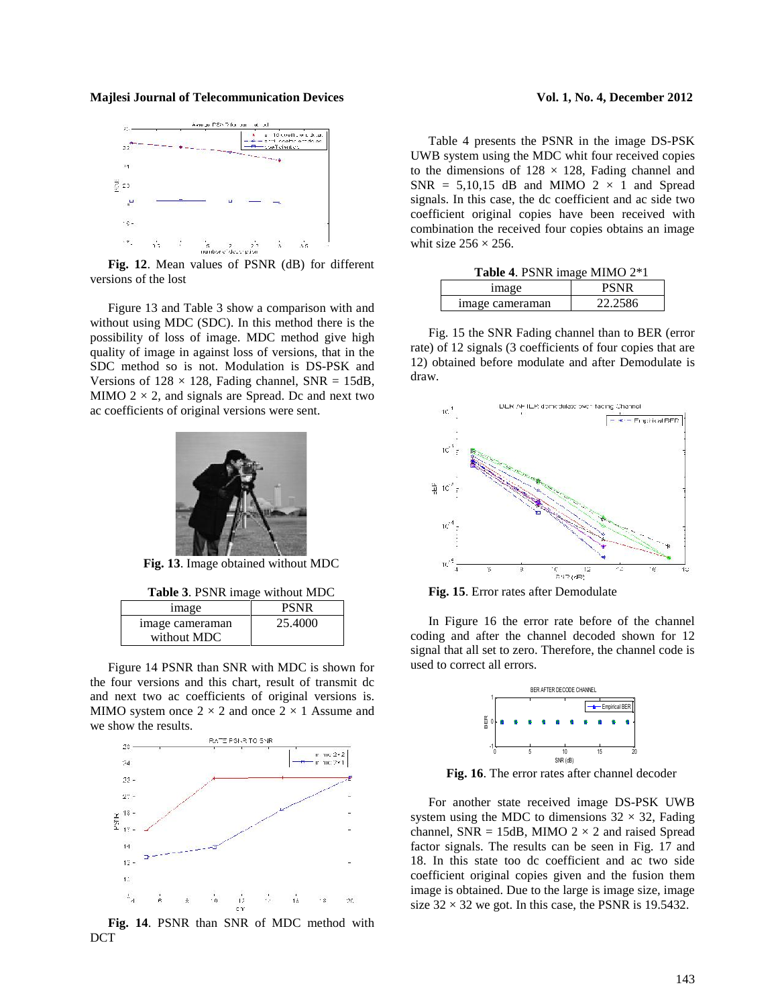

**Fig. 12**. Mean values of PSNR (dB) for different versions of the lost

Figure 13 and Table 3 show a comparison with and without using MDC (SDC). In this method there is the possibility of loss of image. MDC method give high quality of image in against loss of versions, that in the SDC method so is not. Modulation is DS-PSK and Versions of  $128 \times 128$ , Fading channel, SNR = 15dB, MIMO  $2 \times 2$ , and signals are Spread. Dc and next two ac coefficients of original versions were sent.



**Fig. 13**. Image obtained without MDC

**Table 3**. PSNR image without MDC

|             | <i>image</i>    | <b>PSNR</b> |  |
|-------------|-----------------|-------------|--|
| without MDC | image cameraman | 25.4000     |  |

Figure 14 PSNR than SNR with MDC is shown for the four versions and this chart, result of transmit dc and next two ac coefficients of original versions is. MIMO system once  $2 \times 2$  and once  $2 \times 1$  Assume and we show the results.



**Fig. 14**. PSNR than SNR of MDC method with DCT

Table 4 presents the PSNR in the image DS-PSK UWB system using the MDC whit four received copies to the dimensions of  $128 \times 128$ , Fading channel and  $SNR = 5,10,15$  dB and MIMO  $2 \times 1$  and Spread signals. In this case, the dc coefficient and ac side two coefficient original copies have been received with combination the received four copies obtains an image whit size  $256 \times 256$ .

| <b>Table 4. PSNR</b> image MIMO 2*1 |             |  |
|-------------------------------------|-------------|--|
| <i>image</i>                        | <b>PSNR</b> |  |
| image cameraman                     | 22.2586     |  |

Fig. 15 the SNR Fading channel than to BER (error rate) of 12 signals (3 coefficients of four copies that are 12) obtained before modulate and after Demodulate is draw.



**Fig. 15**. Error rates after Demodulate

In Figure 16 the error rate before of the channel coding and after the channel decoded shown for 12 signal that all set to zero. Therefore, the channel code is used to correct all errors.



**Fig. 16**. The error rates after channel decoder

For another state received image DS-PSK UWB system using the MDC to dimensions  $32 \times 32$ , Fading channel, SNR = 15dB, MIMO  $2 \times 2$  and raised Spread factor signals. The results can be seen in Fig. 17 and 18. In this state too dc coefficient and ac two side coefficient original copies given and the fusion them image is obtained. Due to the large is image size, image size  $32 \times 32$  we got. In this case, the PSNR is 19.5432.